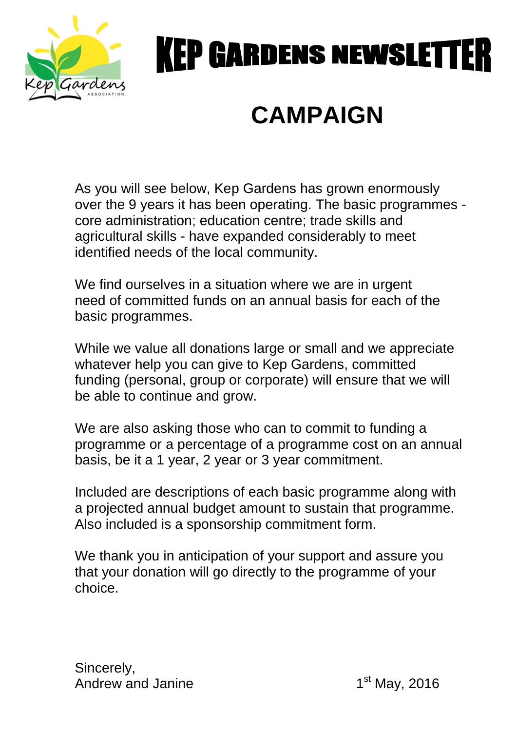

# **KEP GARDENS NEWSLET**

## **CAMPAIGN**

As you will see below, Kep Gardens has grown enormously over the 9 years it has been operating. The basic programmes core administration; education centre; trade skills and agricultural skills - have expanded considerably to meet identified needs of the local community.

We find ourselves in a situation where we are in urgent need of committed funds on an annual basis for each of the basic programmes.

While we value all donations large or small and we appreciate whatever help you can give to Kep Gardens, committed funding (personal, group or corporate) will ensure that we will be able to continue and grow.

We are also asking those who can to commit to funding a programme or a percentage of a programme cost on an annual basis, be it a 1 year, 2 year or 3 year commitment.

Included are descriptions of each basic programme along with a projected annual budget amount to sustain that programme. Also included is a sponsorship commitment form.

We thank you in anticipation of your support and assure you that your donation will go directly to the programme of your choice.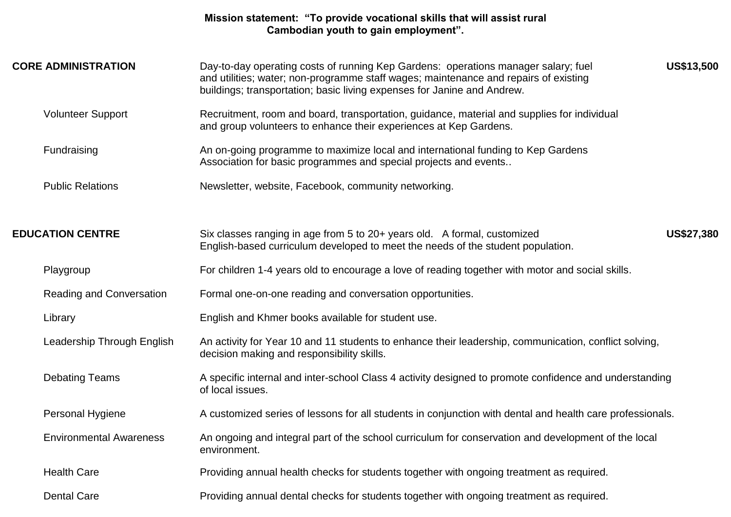### **Mission statement: "To provide vocational skills that will assist rural Cambodian youth to gain employment".**

| <b>CORE ADMINISTRATION</b>      | US\$13,500<br>Day-to-day operating costs of running Kep Gardens: operations manager salary; fuel<br>and utilities; water; non-programme staff wages; maintenance and repairs of existing<br>buildings; transportation; basic living expenses for Janine and Andrew. |            |  |  |
|---------------------------------|---------------------------------------------------------------------------------------------------------------------------------------------------------------------------------------------------------------------------------------------------------------------|------------|--|--|
| <b>Volunteer Support</b>        | Recruitment, room and board, transportation, guidance, material and supplies for individual<br>and group volunteers to enhance their experiences at Kep Gardens.                                                                                                    |            |  |  |
| Fundraising                     | An on-going programme to maximize local and international funding to Kep Gardens<br>Association for basic programmes and special projects and events                                                                                                                |            |  |  |
| <b>Public Relations</b>         | Newsletter, website, Facebook, community networking.                                                                                                                                                                                                                |            |  |  |
| <b>EDUCATION CENTRE</b>         | Six classes ranging in age from 5 to 20+ years old. A formal, customized<br>English-based curriculum developed to meet the needs of the student population.                                                                                                         | US\$27,380 |  |  |
| Playgroup                       | For children 1-4 years old to encourage a love of reading together with motor and social skills.                                                                                                                                                                    |            |  |  |
| <b>Reading and Conversation</b> | Formal one-on-one reading and conversation opportunities.                                                                                                                                                                                                           |            |  |  |
| Library                         | English and Khmer books available for student use.                                                                                                                                                                                                                  |            |  |  |
| Leadership Through English      | An activity for Year 10 and 11 students to enhance their leadership, communication, conflict solving,<br>decision making and responsibility skills.                                                                                                                 |            |  |  |
| <b>Debating Teams</b>           | A specific internal and inter-school Class 4 activity designed to promote confidence and understanding<br>of local issues.                                                                                                                                          |            |  |  |
| Personal Hygiene                | A customized series of lessons for all students in conjunction with dental and health care professionals.                                                                                                                                                           |            |  |  |
| <b>Environmental Awareness</b>  | An ongoing and integral part of the school curriculum for conservation and development of the local<br>environment.                                                                                                                                                 |            |  |  |
| <b>Health Care</b>              | Providing annual health checks for students together with ongoing treatment as required.                                                                                                                                                                            |            |  |  |
| <b>Dental Care</b>              | Providing annual dental checks for students together with ongoing treatment as required.                                                                                                                                                                            |            |  |  |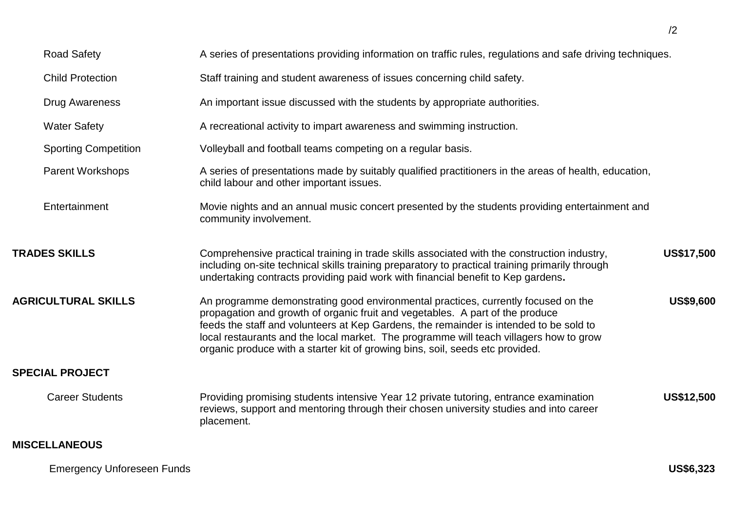| <b>Road Safety</b>          | A series of presentations providing information on traffic rules, regulations and safe driving techniques.                                                                                                                                                                                                                                                                                                                              |                   |
|-----------------------------|-----------------------------------------------------------------------------------------------------------------------------------------------------------------------------------------------------------------------------------------------------------------------------------------------------------------------------------------------------------------------------------------------------------------------------------------|-------------------|
|                             |                                                                                                                                                                                                                                                                                                                                                                                                                                         |                   |
| <b>Child Protection</b>     | Staff training and student awareness of issues concerning child safety.                                                                                                                                                                                                                                                                                                                                                                 |                   |
| <b>Drug Awareness</b>       | An important issue discussed with the students by appropriate authorities.                                                                                                                                                                                                                                                                                                                                                              |                   |
| <b>Water Safety</b>         | A recreational activity to impart awareness and swimming instruction.                                                                                                                                                                                                                                                                                                                                                                   |                   |
| <b>Sporting Competition</b> | Volleyball and football teams competing on a regular basis.                                                                                                                                                                                                                                                                                                                                                                             |                   |
| <b>Parent Workshops</b>     | A series of presentations made by suitably qualified practitioners in the areas of health, education,<br>child labour and other important issues.                                                                                                                                                                                                                                                                                       |                   |
| Entertainment               | Movie nights and an annual music concert presented by the students providing entertainment and<br>community involvement.                                                                                                                                                                                                                                                                                                                |                   |
| <b>TRADES SKILLS</b>        | Comprehensive practical training in trade skills associated with the construction industry,<br>including on-site technical skills training preparatory to practical training primarily through<br>undertaking contracts providing paid work with financial benefit to Kep gardens.                                                                                                                                                      | <b>US\$17,500</b> |
| <b>AGRICULTURAL SKILLS</b>  | An programme demonstrating good environmental practices, currently focused on the<br>propagation and growth of organic fruit and vegetables. A part of the produce<br>feeds the staff and volunteers at Kep Gardens, the remainder is intended to be sold to<br>local restaurants and the local market. The programme will teach villagers how to grow<br>organic produce with a starter kit of growing bins, soil, seeds etc provided. | US\$9,600         |
| <b>SPECIAL PROJECT</b>      |                                                                                                                                                                                                                                                                                                                                                                                                                                         |                   |
| <b>Career Students</b>      | Providing promising students intensive Year 12 private tutoring, entrance examination<br>reviews, support and mentoring through their chosen university studies and into career<br>placement.                                                                                                                                                                                                                                           | <b>US\$12,500</b> |
| <b>MISCELLANEOUS</b>        |                                                                                                                                                                                                                                                                                                                                                                                                                                         |                   |

/2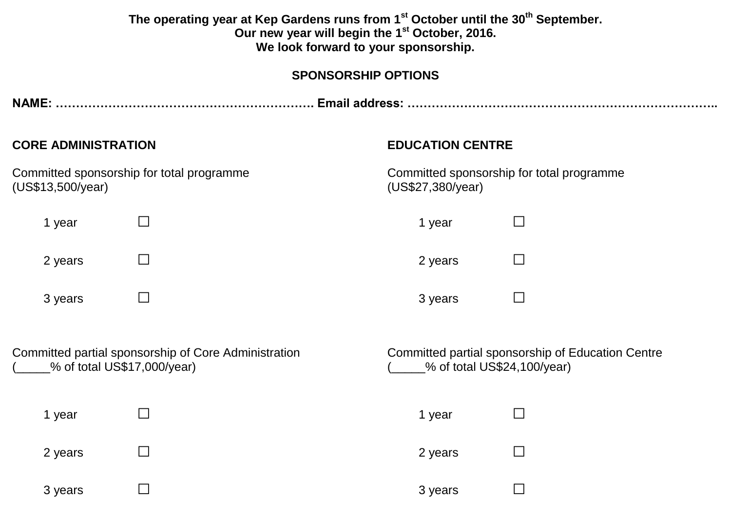| The operating year at Kep Gardens runs from 1 <sup>st</sup> October until the 30 <sup>th</sup> September.<br>Our new year will begin the 1 <sup>st</sup> October, 2016.<br>We look forward to your sponsorship. |                                                                                     |                             |                                                   |  |  |  |
|-----------------------------------------------------------------------------------------------------------------------------------------------------------------------------------------------------------------|-------------------------------------------------------------------------------------|-----------------------------|---------------------------------------------------|--|--|--|
|                                                                                                                                                                                                                 |                                                                                     | <b>SPONSORSHIP OPTIONS</b>  |                                                   |  |  |  |
|                                                                                                                                                                                                                 |                                                                                     |                             |                                                   |  |  |  |
| <b>CORE ADMINISTRATION</b>                                                                                                                                                                                      |                                                                                     | <b>EDUCATION CENTRE</b>     |                                                   |  |  |  |
| Committed sponsorship for total programme<br>(US\$13,500/year)                                                                                                                                                  |                                                                                     | (US\$27,380/year)           | Committed sponsorship for total programme         |  |  |  |
| 1 year                                                                                                                                                                                                          | $\Box$                                                                              | 1 year                      | $\Box$                                            |  |  |  |
| 2 years                                                                                                                                                                                                         | $\Box$                                                                              | 2 years                     | $\Box$                                            |  |  |  |
| 3 years                                                                                                                                                                                                         | $\mathbf{L}$                                                                        | 3 years                     | $\Box$                                            |  |  |  |
|                                                                                                                                                                                                                 | Committed partial sponsorship of Core Administration<br>% of total US\$17,000/year) | % of total US\$24,100/year) | Committed partial sponsorship of Education Centre |  |  |  |
| 1 year                                                                                                                                                                                                          |                                                                                     | 1 year                      | $\Box$                                            |  |  |  |
| 2 years                                                                                                                                                                                                         | M.                                                                                  | 2 years                     |                                                   |  |  |  |
| 3 years                                                                                                                                                                                                         | $\mathbf{I}$                                                                        | 3 years                     | $\overline{\phantom{a}}$                          |  |  |  |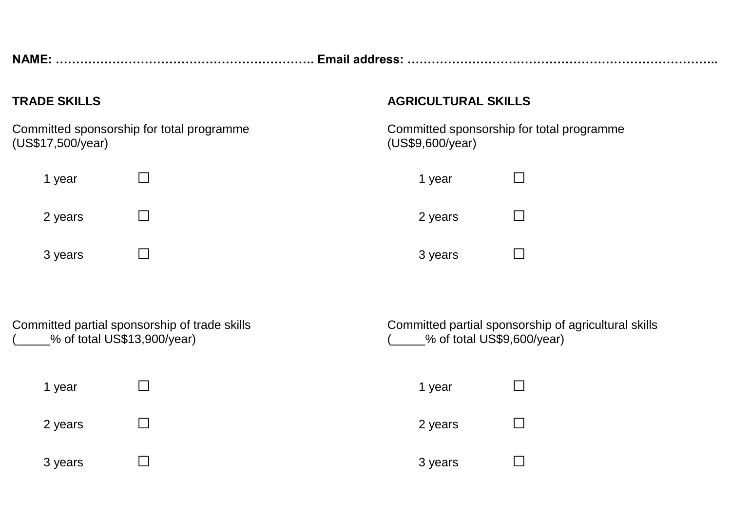**NAME: ………………………………………………………. Email address: …………………………………………………………………..**

Committed sponsorship for total programme<br>
(US\$17,500/year) (US\$17,500/year) (US\$17,500/year)

| 1 year  | 1 year  | $\Box$ |
|---------|---------|--------|
| 2 years | 2 years |        |
| 3 years | 3 years | $\Box$ |

## **TRADE SKILLS AGRICULTURAL SKILLS**

| 1 year  |              |
|---------|--------------|
| 2 years | $\mathsf{L}$ |
| 3 years |              |

| Committed partial sponsorship of trade skills | Committed partial sponsorship of       |
|-----------------------------------------------|----------------------------------------|
| _% of total US\$13,900/year)                  | $\frac{9}{2}$ of total US\$9,600/year) |

Committed partial sponsorship of trade skills Committed partial sponsorship of agricultural skills

| 1 year  | 1 year  |  |
|---------|---------|--|
| 2 years | 2 years |  |
| 3 years | 3 years |  |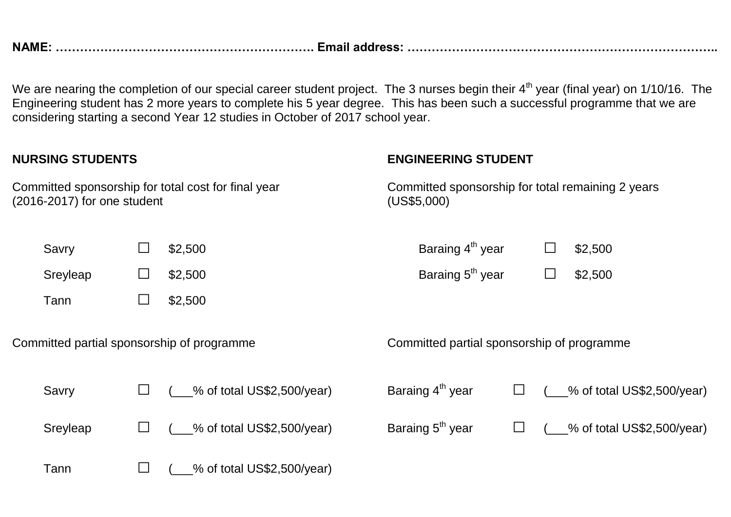**NAME: ………………………………………………………. Email address: …………………………………………………………………..**

We are nearing the completion of our special career student project. The 3 nurses begin their 4<sup>th</sup> year (final year) on 1/10/16. The Engineering student has 2 more years to complete his 5 year degree. This has been such a successful programme that we are considering starting a second Year 12 studies in October of 2017 school year.

| <b>NURSING STUDENTS</b>                                                            |  |                                                                  | <b>ENGINEERING STUDENT</b>     |  |                              |        |   |                                |
|------------------------------------------------------------------------------------|--|------------------------------------------------------------------|--------------------------------|--|------------------------------|--------|---|--------------------------------|
| Committed sponsorship for total cost for final year<br>(2016-2017) for one student |  | Committed sponsorship for total remaining 2 years<br>(US\$5,000) |                                |  |                              |        |   |                                |
| Savry                                                                              |  | $\Box$                                                           | \$2,500                        |  | Baraing 4 <sup>th</sup> year |        |   | \$2,500                        |
| Sreyleap                                                                           |  | $\Box$                                                           | \$2,500                        |  | Baraing 5 <sup>th</sup> year |        | ⊔ | \$2,500                        |
| Tann                                                                               |  | $\overline{\phantom{a}}$                                         | \$2,500                        |  |                              |        |   |                                |
| Committed partial sponsorship of programme                                         |  | Committed partial sponsorship of programme                       |                                |  |                              |        |   |                                |
| Savry                                                                              |  | $\Box$                                                           | $($ % of total US\$2,500/year) |  | Baraing 4 <sup>th</sup> year | $\Box$ |   | $($ % of total US\$2,500/year) |
| Sreyleap                                                                           |  | $\Box$                                                           | $($ % of total US\$2,500/year) |  | Baraing 5 <sup>th</sup> year | $\Box$ |   | $($ % of total US\$2,500/year) |
| Tann                                                                               |  |                                                                  | % of total US\$2,500/year)     |  |                              |        |   |                                |